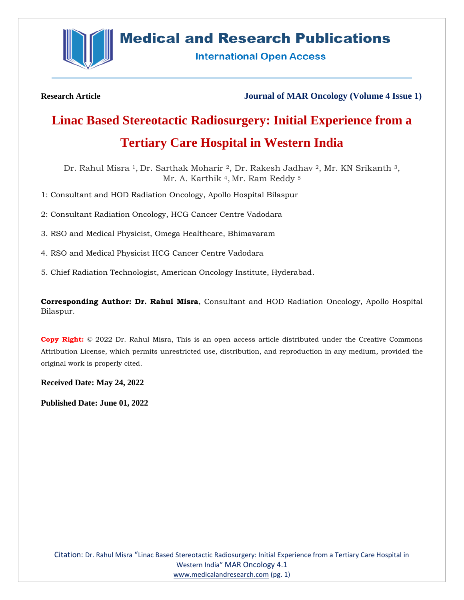

# **Medical and Research Publications**

**International Open Access** 

**Research Article Journal of MAR Oncology (Volume 4 Issue 1)**

# **Linac Based Stereotactic Radiosurgery: Initial Experience from a Tertiary Care Hospital in Western India**

Dr. Rahul Misra <sup>1</sup>, Dr. Sarthak Moharir <sup>2</sup>, Dr. Rakesh Jadhav <sup>2</sup>, Mr. KN Srikanth <sup>3</sup>, Mr. A. Karthik <sup>4</sup>, Mr. Ram Reddy <sup>5</sup>

1: Consultant and HOD Radiation Oncology, Apollo Hospital Bilaspur

2: Consultant Radiation Oncology, HCG Cancer Centre Vadodara

3. RSO and Medical Physicist, Omega Healthcare, Bhimavaram

4. RSO and Medical Physicist HCG Cancer Centre Vadodara

5. Chief Radiation Technologist, American Oncology Institute, Hyderabad.

**Corresponding Author: Dr. Rahul Misra**, Consultant and HOD Radiation Oncology, Apollo Hospital Bilaspur.

**Copy Right:** © 2022 Dr. Rahul Misra, This is an open access article distributed under the Creative Commons Attribution License, which permits unrestricted use, distribution, and reproduction in any medium, provided the original work is properly cited.

**Received Date: May 24, 2022**

**Published Date: June 01, 2022**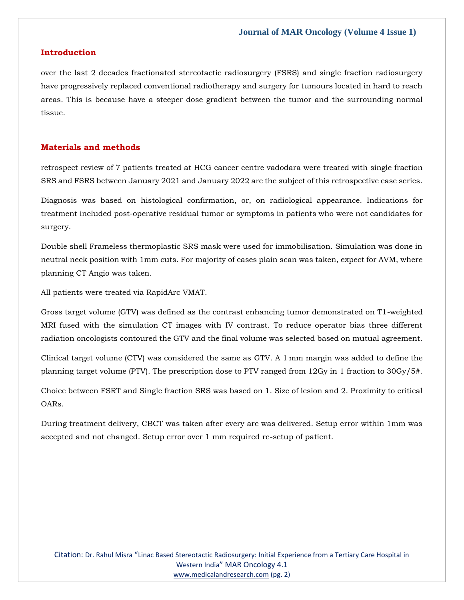### **Introduction**

over the last 2 decades fractionated stereotactic radiosurgery (FSRS) and single fraction radiosurgery have progressively replaced conventional radiotherapy and surgery for tumours located in hard to reach areas. This is because have a steeper dose gradient between the tumor and the surrounding normal tissue.

#### **Materials and methods**

retrospect review of 7 patients treated at HCG cancer centre vadodara were treated with single fraction SRS and FSRS between January 2021 and January 2022 are the subject of this retrospective case series.

Diagnosis was based on histological confirmation, or, on radiological appearance. Indications for treatment included post-operative residual tumor or symptoms in patients who were not candidates for surgery.

Double shell Frameless thermoplastic SRS mask were used for immobilisation. Simulation was done in neutral neck position with 1mm cuts. For majority of cases plain scan was taken, expect for AVM, where planning CT Angio was taken.

All patients were treated via RapidArc VMAT.

Gross target volume (GTV) was defined as the contrast enhancing tumor demonstrated on T1-weighted MRI fused with the simulation CT images with IV contrast. To reduce operator bias three different radiation oncologists contoured the GTV and the final volume was selected based on mutual agreement.

Clinical target volume (CTV) was considered the same as GTV. A 1 mm margin was added to define the planning target volume (PTV). The prescription dose to PTV ranged from 12Gy in 1 fraction to 30Gy/5#.

Choice between FSRT and Single fraction SRS was based on 1. Size of lesion and 2. Proximity to critical OARs.

During treatment delivery, CBCT was taken after every arc was delivered. Setup error within 1mm was accepted and not changed. Setup error over 1 mm required re-setup of patient.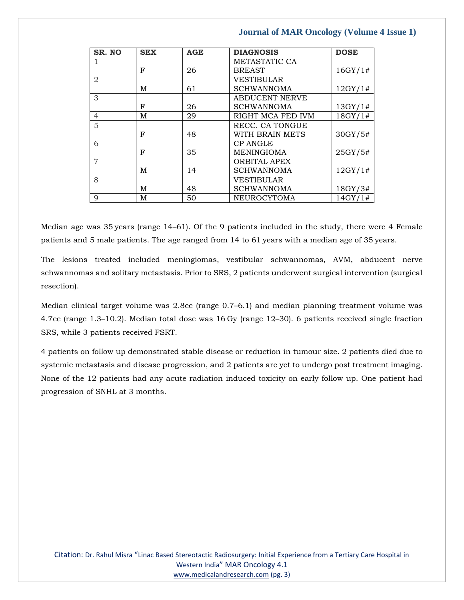## **Journal of MAR Oncology (Volume 4 Issue 1)**

| SR. NO         | <b>SEX</b> | <b>AGE</b> | <b>DIAGNOSIS</b>      | <b>DOSE</b> |
|----------------|------------|------------|-----------------------|-------------|
|                |            |            | METASTATIC CA         |             |
|                | F          | 26         | <b>BREAST</b>         | 16GY/1#     |
| $\overline{2}$ |            |            | <b>VESTIBULAR</b>     |             |
|                | M          | 61         | <b>SCHWANNOMA</b>     | 12GY/1#     |
| 3              |            |            | <b>ABDUCENT NERVE</b> |             |
|                | F          | 26         | <b>SCHWANNOMA</b>     | 13GY/1#     |
| 4              | M          | 29         | RIGHT MCA FED IVM     | 18GY/1#     |
| 5              |            |            | RECC. CA TONGUE       |             |
|                | F          | 48         | WITH BRAIN METS       | 30GY/5#     |
| 6              |            |            | <b>CP ANGLE</b>       |             |
|                | F          | 35         | <b>MENINGIOMA</b>     | 25GY/5#     |
| 7              |            |            | <b>ORBITAL APEX</b>   |             |
|                | M          | 14         | <b>SCHWANNOMA</b>     | 12GY/1#     |
| 8              |            |            | <b>VESTIBULAR</b>     |             |
|                | М          | 48         | <b>SCHWANNOMA</b>     | 18GY/3#     |
| 9              | М          | 50         | <b>NEUROCYTOMA</b>    | 14GY/1#     |

Median age was 35 years (range 14–61). Of the 9 patients included in the study, there were 4 Female patients and 5 male patients. The age ranged from 14 to 61 years with a median age of 35 years.

The lesions treated included meningiomas, vestibular schwannomas, AVM, abducent nerve schwannomas and solitary metastasis. Prior to SRS, 2 patients underwent surgical intervention (surgical resection).

Median clinical target volume was 2.8cc (range 0.7–6.1) and median planning treatment volume was 4.7cc (range 1.3–10.2). Median total dose was 16 Gy (range 12–30). 6 patients received single fraction SRS, while 3 patients received FSRT.

4 patients on follow up demonstrated stable disease or reduction in tumour size. 2 patients died due to systemic metastasis and disease progression, and 2 patients are yet to undergo post treatment imaging. None of the 12 patients had any acute radiation induced toxicity on early follow up. One patient had progression of SNHL at 3 months.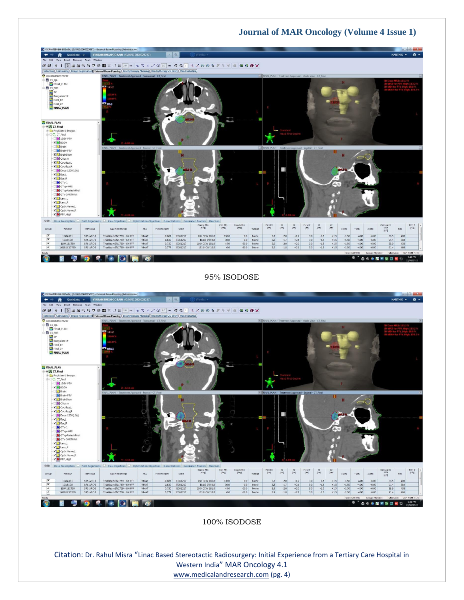## **Journal of MAR Oncology (Volume 4 Issue 1)**



95% ISODOSE



100% ISODOSE

Citation: Dr. Rahul Misra "Linac Based Stereotactic Radiosurgery: Initial Experience from a Tertiary Care Hospital in Western India" MAR Oncology 4.1 [www.medicalandresearch.com](http://www.medicalandresearch.com/) (pg. 4)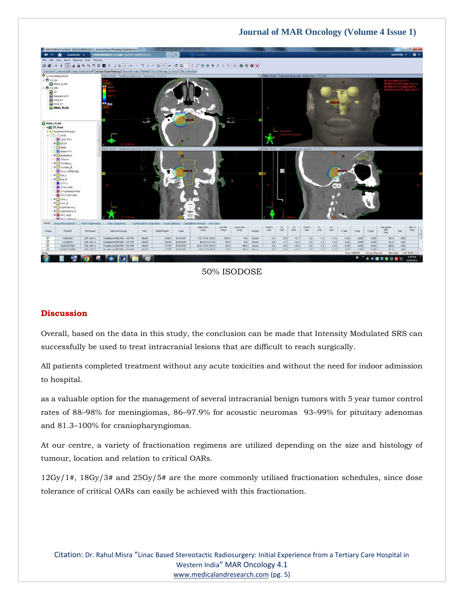# **Journal of MAR Oncology (Volume 4 Issue 1)**



50% ISODOSE

#### **Discussion**

Overall, based on the data in this study, the conclusion can be made that Intensity Modulated SRS can successfully be used to treat intracranial lesions that are difficult to reach surgically.

All patients completed treatment without any acute toxicities and without the need for indoor admission to hospital.

as a valuable option for the management of several intracranial benign tumors with 5 year tumor control rates of 88–98% for meningiomas, 86–97.9% for acoustic neuromas 93–99% for pituitary adenomas and 81.3–100% for craniopharyngiomas.

At our centre, a variety of fractionation regimens are utilized depending on the size and histology of tumour, location and relation to critical OARs.

 $12Gy/1$ #,  $18Gy/3$ # and  $25Gy/5$ # are the more commonly utilised fractionation schedules, since dose tolerance of critical OARs can easily be achieved with this fractionation.

Citation: Dr. Rahul Misra "Linac Based Stereotactic Radiosurgery: Initial Experience from a Tertiary Care Hospital in Western India" MAR Oncology 4.1 [www.medicalandresearch.com](http://www.medicalandresearch.com/) (pg. 5)